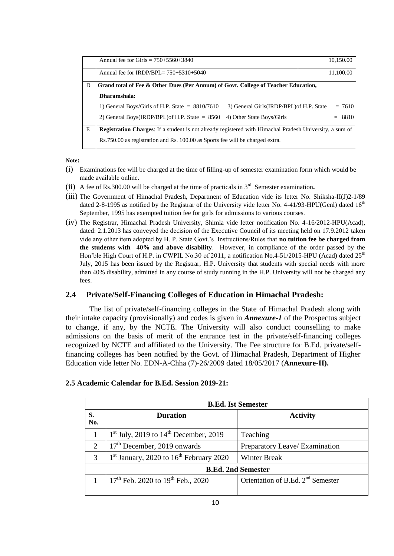|   | Annual fee for Girls = $750+5560+3840$                                                                         | 10,150.00 |  |
|---|----------------------------------------------------------------------------------------------------------------|-----------|--|
|   | Annual fee for IRDP/BPL= $750+5310+5040$                                                                       | 11,100.00 |  |
| D | Grand total of Fee & Other Dues (Per Annum) of Govt. College of Teacher Education,                             |           |  |
|   | Dharamshala:                                                                                                   |           |  |
|   | 1) General Boys/Girls of H.P. State $= 8810/7610$<br>3) General Girls (IRDP/BPL) of H.P. State                 | $= 7610$  |  |
|   | 2) General Boys(IRDP/BPL) of H.P. State $= 8560$<br>4) Other State Boys/Girls                                  | $= 8810$  |  |
| E | <b>Registration Charges:</b> If a student is not already registered with Himachal Pradesh University, a sum of |           |  |
|   | Rs.750.00 as registration and Rs. 100.00 as Sports fee will be charged extra.                                  |           |  |

**Note:** 

- (i) Examinations fee will be charged at the time of filling-up of semester examination form which would be made available online.
- (ii) A fee of Rs.300.00 will be charged at the time of practicals in  $3<sup>rd</sup>$  Semester examination.
- (iii) The Government of Himachal Pradesh, Department of Education vide its letter No. Shiksha-II(J)2-1/89 dated 2-8-1995 as notified by the Registrar of the University vide letter No. 4-41/93-HPU(Genl) dated  $16<sup>th</sup>$ September, 1995 has exempted tuition fee for girls for admissions to various courses.
- (iv) The Registrar, Himachal Pradesh University, Shimla vide letter notification No. 4-16/2012-HPU(Acad), dated: 2.1.2013 has conveyed the decision of the Executive Council of its meeting held on 17.9.2012 taken vide any other item adopted by H. P. State Govt."s Instructions/Rules that **no tuition fee be charged from the students with 40% and above disability**. However, in compliance of the order passed by the Hon'ble High Court of H.P. in CWPIL No.30 of 2011, a notification No.4-51/2015-HPU (Acad) dated  $25<sup>th</sup>$ July, 2015 has been issued by the Registrar, H.P. University that students with special needs with more than 40% disability, admitted in any course of study running in the H.P. University will not be charged any fees.

## **2.4 Private/Self-Financing Colleges of Education in Himachal Pradesh:**

The list of private/self-financing colleges in the State of Himachal Pradesh along with their intake capacity (provisionally) and codes is given in *Annexure-1* of the Prospectus subject to change, if any, by the NCTE. The University will also conduct counselling to make admissions on the basis of merit of the entrance test in the private/self-financing colleges recognized by NCTE and affiliated to the University. The Fee structure for B.Ed. private/selffinancing colleges has been notified by the Govt. of Himachal Pradesh, Department of Higher Education vide letter No. EDN-A-Chha (7)-26/2009 dated 18/05/2017 (**Annexure-II).** 

|                           | <b>B.Ed. Ist Semester</b>                   |                                               |  |  |
|---------------------------|---------------------------------------------|-----------------------------------------------|--|--|
| S.<br>No.                 | <b>Duration</b>                             | <b>Activity</b>                               |  |  |
|                           | $1st$ July, 2019 to $14th$ December, 2019   | Teaching                                      |  |  |
| $\overline{2}$            | 17 <sup>th</sup> December, 2019 onwards     | Preparatory Leave/ Examination                |  |  |
| 3                         | $1st$ January, 2020 to $16th$ February 2020 | <b>Winter Break</b>                           |  |  |
| <b>B.Ed. 2nd Semester</b> |                                             |                                               |  |  |
|                           | $17th$ Feb. 2020 to $19th$ Feb., 2020       | Orientation of B.Ed. 2 <sup>nd</sup> Semester |  |  |

## **2.5 Academic Calendar for B.Ed. Session 2019-21:**